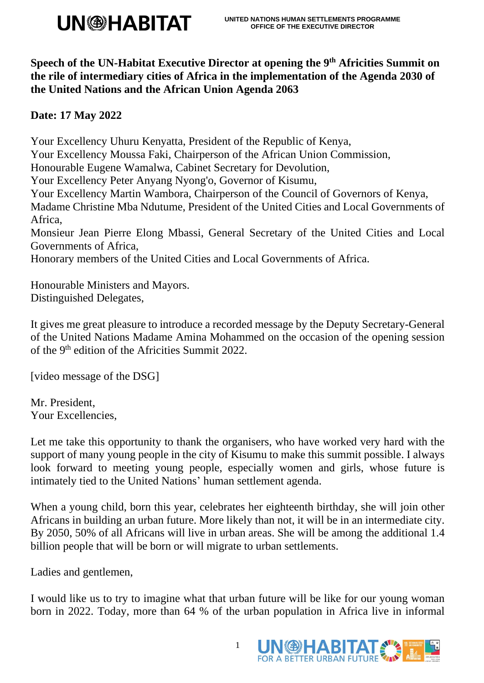## **UN®HABITAT**

**Speech of the UN-Habitat Executive Director at opening the 9 th Africities Summit on the rile of intermediary cities of Africa in the implementation of the Agenda 2030 of the United Nations and the African Union Agenda 2063**

**Date: 17 May 2022**

Your Excellency Uhuru Kenyatta, President of the Republic of Kenya, Your Excellency Moussa Faki, Chairperson of the African Union Commission, Honourable Eugene Wamalwa, Cabinet Secretary for Devolution, Your Excellency Peter Anyang Nyong'o, Governor of Kisumu, Your Excellency Martin Wambora, Chairperson of the Council of Governors of Kenya, Madame Christine Mba Ndutume, President of the United Cities and Local Governments of Africa, Monsieur Jean Pierre Elong Mbassi, General Secretary of the United Cities and Local Governments of Africa, Honorary members of the United Cities and Local Governments of Africa.

Honourable Ministers and Mayors. Distinguished Delegates,

It gives me great pleasure to introduce a recorded message by the Deputy Secretary-General of the United Nations Madame Amina Mohammed on the occasion of the opening session of the 9<sup>th</sup> edition of the Africities Summit 2022.

[video message of the DSG]

Mr. President, Your Excellencies,

Let me take this opportunity to thank the organisers, who have worked very hard with the support of many young people in the city of Kisumu to make this summit possible. I always look forward to meeting young people, especially women and girls, whose future is intimately tied to the United Nations' human settlement agenda.

When a young child, born this year, celebrates her eighteenth birthday, she will join other Africans in building an urban future. More likely than not, it will be in an intermediate city. By 2050, 50% of all Africans will live in urban areas. She will be among the additional 1.4 billion people that will be born or will migrate to urban settlements.

Ladies and gentlemen,

I would like us to try to imagine what that urban future will be like for our young woman born in 2022. Today, more than 64 % of the urban population in Africa live in informal



1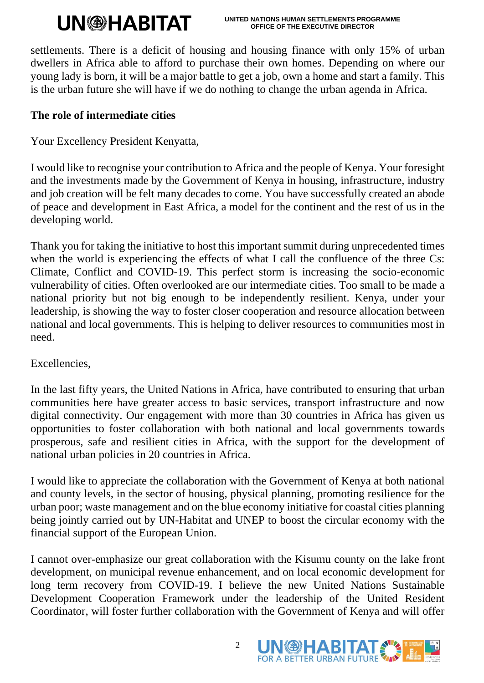# **UN@HABITAT**

settlements. There is a deficit of housing and housing finance with only 15% of urban dwellers in Africa able to afford to purchase their own homes. Depending on where our young lady is born, it will be a major battle to get a job, own a home and start a family. This is the urban future she will have if we do nothing to change the urban agenda in Africa.

#### **The role of intermediate cities**

Your Excellency President Kenyatta,

I would like to recognise your contribution to Africa and the people of Kenya. Your foresight and the investments made by the Government of Kenya in housing, infrastructure, industry and job creation will be felt many decades to come. You have successfully created an abode of peace and development in East Africa, a model for the continent and the rest of us in the developing world.

Thank you for taking the initiative to host this important summit during unprecedented times when the world is experiencing the effects of what I call the confluence of the three Cs: Climate, Conflict and COVID-19. This perfect storm is increasing the socio-economic vulnerability of cities. Often overlooked are our intermediate cities. Too small to be made a national priority but not big enough to be independently resilient. Kenya, under your leadership, is showing the way to foster closer cooperation and resource allocation between national and local governments. This is helping to deliver resources to communities most in need.

Excellencies,

In the last fifty years, the United Nations in Africa, have contributed to ensuring that urban communities here have greater access to basic services, transport infrastructure and now digital connectivity. Our engagement with more than 30 countries in Africa has given us opportunities to foster collaboration with both national and local governments towards prosperous, safe and resilient cities in Africa, with the support for the development of national urban policies in 20 countries in Africa.

I would like to appreciate the collaboration with the Government of Kenya at both national and county levels, in the sector of housing, physical planning, promoting resilience for the urban poor; waste management and on the blue economy initiative for coastal cities planning being jointly carried out by UN-Habitat and UNEP to boost the circular economy with the financial support of the European Union.

I cannot over-emphasize our great collaboration with the Kisumu county on the lake front development, on municipal revenue enhancement, and on local economic development for long term recovery from COVID-19. I believe the new United Nations Sustainable Development Cooperation Framework under the leadership of the United Resident Coordinator, will foster further collaboration with the Government of Kenya and will offer



2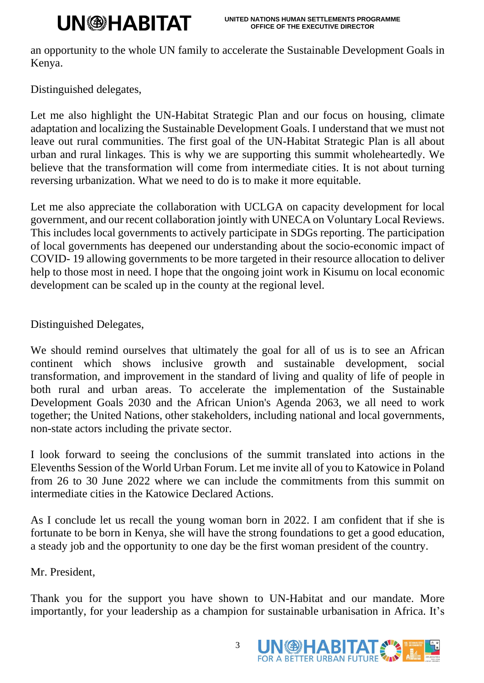## **UN@HABITAT**

an opportunity to the whole UN family to accelerate the Sustainable Development Goals in Kenya.

Distinguished delegates,

Let me also highlight the UN-Habitat Strategic Plan and our focus on housing, climate adaptation and localizing the Sustainable Development Goals. I understand that we must not leave out rural communities. The first goal of the UN-Habitat Strategic Plan is all about urban and rural linkages. This is why we are supporting this summit wholeheartedly. We believe that the transformation will come from intermediate cities. It is not about turning reversing urbanization. What we need to do is to make it more equitable.

Let me also appreciate the collaboration with UCLGA on capacity development for local government, and our recent collaboration jointly with UNECA on Voluntary Local Reviews. This includes local governments to actively participate in SDGs reporting. The participation of local governments has deepened our understanding about the socio-economic impact of COVID- 19 allowing governments to be more targeted in their resource allocation to deliver help to those most in need. I hope that the ongoing joint work in Kisumu on local economic development can be scaled up in the county at the regional level.

Distinguished Delegates,

We should remind ourselves that ultimately the goal for all of us is to see an African continent which shows inclusive growth and sustainable development, social transformation, and improvement in the standard of living and quality of life of people in both rural and urban areas. To accelerate the implementation of the Sustainable Development Goals 2030 and the African Union's Agenda 2063, we all need to work together; the United Nations, other stakeholders, including national and local governments, non-state actors including the private sector.

I look forward to seeing the conclusions of the summit translated into actions in the Elevenths Session of the World Urban Forum. Let me invite all of you to Katowice in Poland from 26 to 30 June 2022 where we can include the commitments from this summit on intermediate cities in the Katowice Declared Actions.

As I conclude let us recall the young woman born in 2022. I am confident that if she is fortunate to be born in Kenya, she will have the strong foundations to get a good education, a steady job and the opportunity to one day be the first woman president of the country.

Mr. President,

Thank you for the support you have shown to UN-Habitat and our mandate. More importantly, for your leadership as a champion for sustainable urbanisation in Africa. It's